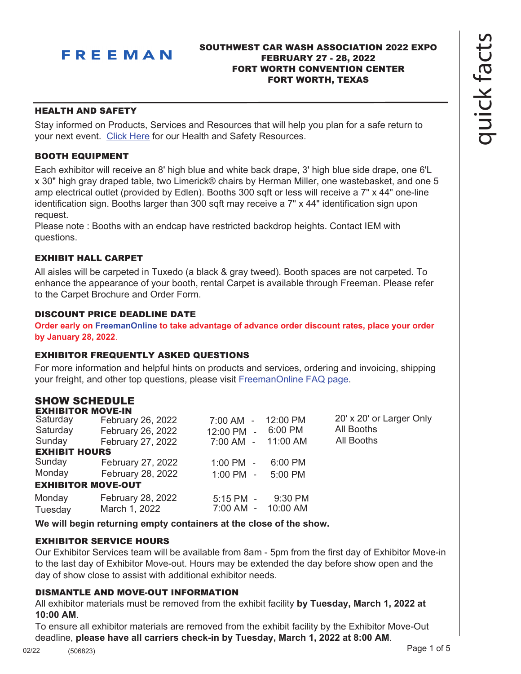

# SOUTHWEST CAR WASH ASSOCIATION 2022 EXPO FEBRUARY 27 - 28, 2022 FORT WORTH CONVENTION CENTER FORT WORTH, TEXAS

## HEALTH AND SAFETY

Stay informed on Products, Services and Resources that will help you plan for a safe return to your next event. [Click Here](https://www.freeman.com/resources/collection/how-to-safely-return-to-exhibiting/) for our Health and Safety Resources.

# BOOTH EQUIPMENT

Each exhibitor will receive an 8' high blue and white back drape, 3' high blue side drape, one 6'L x 30" high gray draped table, two Limerick® chairs by Herman Miller, one wastebasket, and one 5 amp electrical outlet (provided by Edlen). Booths 300 sqft or less will receive a 7" x 44" one-line identification sign. Booths larger than 300 sqft may receive a 7" x 44" identification sign upon request.

Please note : Booths with an endcap have restricted backdrop heights. Contact IEM with questions.

# EXHIBIT HALL CARPET

All aisles will be carpeted in Tuxedo (a black & gray tweed). Booth spaces are not carpeted. To enhance the appearance of your booth, rental Carpet is available through Freeman. Please refer to the Carpet Brochure and Order Form.

# DISCOUNT PRICE DEADLINE DATE

**Order early on [FreemanOnline](https://www.freemanco.com/store?utm_source=Forms&utm_medium=PDF) to take advantage of advance order discount rates, place your order by January 28, 2022**.

## EXHIBITOR FREQUENTLY ASKED QUESTIONS

For more information and helpful hints on products and services, ordering and invoicing, shipping your freight, and other top questions, please visit [FreemanOnline FAQ page.](https://www.freemanco.com/store/faqs)

# SHOW SCHEDULE

| <b>EXHIBITOR MOVE-IN</b>  |                   |           |                          |
|---------------------------|-------------------|-----------|--------------------------|
| February 26, 2022         | $7:00$ AM -       |           | 20' x 20' or Larger Only |
| February 26, 2022         | 12:00 PM<br>÷.    | 6:00 PM   | All Booths               |
| February 27, 2022         | 7:00 AM -         | 11:00 AM  | All Booths               |
| <b>EXHIBIT HOURS</b>      |                   |           |                          |
| February 27, 2022         | $1:00$ PM $-$     | $6:00$ PM |                          |
| February 28, 2022         | $1:00$ PM $-$     | $5:00$ PM |                          |
| <b>EXHIBITOR MOVE-OUT</b> |                   |           |                          |
| February 28, 2022         | $5:15$ PM $-$     | $9:30$ PM |                          |
| March 1, 2022             | 7:00 AM<br>$\sim$ | 10:00 AM  |                          |
|                           |                   |           | 12:00 PM                 |

**We will begin returning empty containers at the close of the show.**

# EXHIBITOR SERVICE HOURS

Our Exhibitor Services team will be available from 8am - 5pm from the first day of Exhibitor Move-in to the last day of Exhibitor Move-out. Hours may be extended the day before show open and the day of show close to assist with additional exhibitor needs.

# DISMANTLE AND MOVE-OUT INFORMATION

All exhibitor materials must be removed from the exhibit facility **by Tuesday, March 1, 2022 at 10:00 AM**.

To ensure all exhibitor materials are removed from the exhibit facility by the Exhibitor Move-Out deadline, **please have all carriers check-in by Tuesday, March 1, 2022 at 8:00 AM**.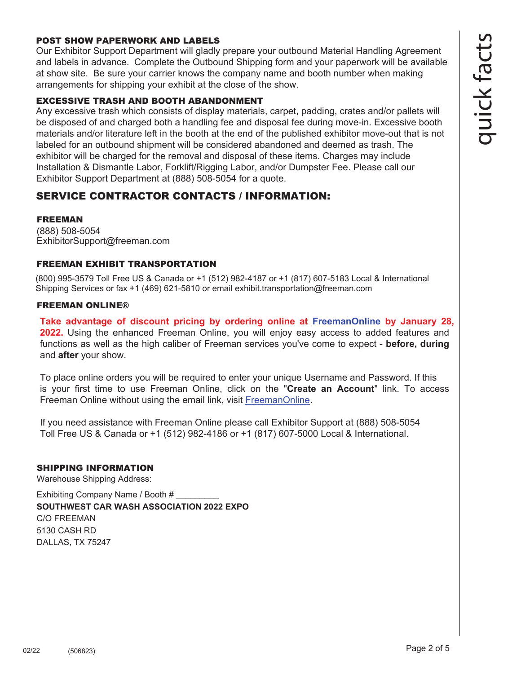# POST SHOW PAPERWORK AND LABELS

Our Exhibitor Support Department will gladly prepare your outbound Material Handling Agreement and labels in advance. Complete the Outbound Shipping form and your paperwork will be available at show site. Be sure your carrier knows the company name and booth number when making arrangements for shipping your exhibit at the close of the show.

#### EXCESSIVE TRASH AND BOOTH ABANDONMENT

Any excessive trash which consists of display materials, carpet, padding, crates and/or pallets will be disposed of and charged both a handling fee and disposal fee during move-in. Excessive booth materials and/or literature left in the booth at the end of the published exhibitor move-out that is not labeled for an outbound shipment will be considered abandoned and deemed as trash. The exhibitor will be charged for the removal and disposal of these items. Charges may include Installation & Dismantle Labor, Forklift/Rigging Labor, and/or Dumpster Fee. Please call our Exhibitor Support Department at (888) 508-5054 for a quote.

# SERVICE CONTRACTOR CONTACTS / INFORMATION:

# FREEMAN

(888) 508-5054 ExhibitorSupport@freeman.com

## FREEMAN EXHIBIT TRANSPORTATION

(800) 995-3579 Toll Free US & Canada or +1 (512) 982-4187 or +1 (817) 607-5183 Local & International Shipping Services or fax +1 (469) 621-5810 or email exhibit.transportation@freeman.com

#### FREEMAN ONLINE®

**Take advantage of discount pricing by ordering online at [FreemanOnline](https://www.freemanco.com/store?utm_source=Forms&utm_medium=PDF) by January 28, 2022.** Using the enhanced Freeman Online, you will enjoy easy access to added features and functions as well as the high caliber of Freeman services you've come to expect - **before, during** and **after** your show.

To place online orders you will be required to enter your unique Username and Password. If this is your first time to use Freeman Online, click on the "**Create an Account**" link. To access Freeman Online without using the email link, visit [FreemanOnline](https://www.freemanco.com/store?utm_source=Forms&utm_medium=PDF).

If you need assistance with Freeman Online please call Exhibitor Support at (888) 508-5054 Toll Free US & Canada or +1 (512) 982-4186 or +1 (817) 607-5000 Local & International.

## SHIPPING INFORMATION

Warehouse Shipping Address:

Exhibiting Company Name / Booth # **SOUTHWEST CAR WASH ASSOCIATION 2022 EXPO** C/O FREEMAN 5130 CASH RD DALLAS, TX 75247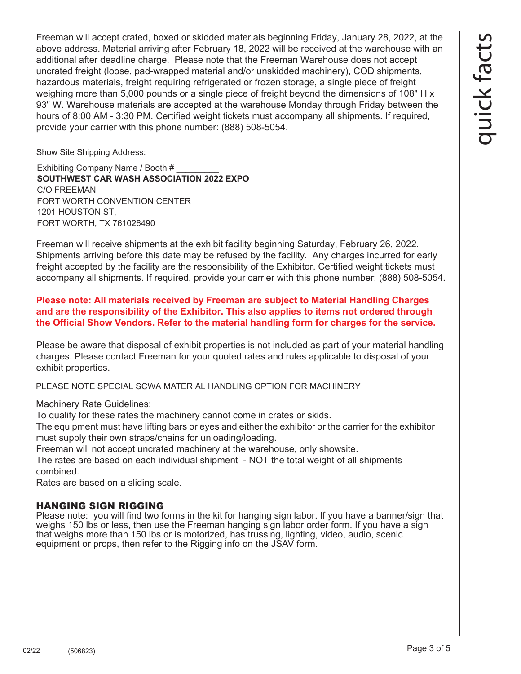Freeman will accept crated, boxed or skidded materials beginning Friday, January 28, 2022, at the above address. Material arriving after February 18, 2022 will be received at the warehouse with an additional after deadline charge. Please note that the Freeman Warehouse does not accept uncrated freight (loose, pad-wrapped material and/or unskidded machinery), COD shipments, hazardous materials, freight requiring refrigerated or frozen storage, a single piece of freight weighing more than 5,000 pounds or a single piece of freight beyond the dimensions of 108" H x 93" W. Warehouse materials are accepted at the warehouse Monday through Friday between the hours of 8:00 AM - 3:30 PM. Certified weight tickets must accompany all shipments. If required, provide your carrier with this phone number: (888) 508-5054.

Show Site Shipping Address:

Exhibiting Company Name / Booth # \_\_\_\_\_\_\_\_\_ **SOUTHWEST CAR WASH ASSOCIATION 2022 EXPO** C/O FREEMAN FORT WORTH CONVENTION CENTER 1201 HOUSTON ST, FORT WORTH, TX 761026490

Freeman will receive shipments at the exhibit facility beginning Saturday, February 26, 2022. Shipments arriving before this date may be refused by the facility. Any charges incurred for early freight accepted by the facility are the responsibility of the Exhibitor. Certified weight tickets must accompany all shipments. If required, provide your carrier with this phone number: (888) 508-5054.

**Please note: All materials received by Freeman are subject to Material Handling Charges and are the responsibility of the Exhibitor. This also applies to items not ordered through the Official Show Vendors. Refer to the material handling form for charges for the service.** 

Please be aware that disposal of exhibit properties is not included as part of your material handling charges. Please contact Freeman for your quoted rates and rules applicable to disposal of your exhibit properties.

PLEASE NOTE SPECIAL SCWA MATERIAL HANDLING OPTION FOR MACHINERY

Machinery Rate Guidelines:

To qualify for these rates the machinery cannot come in crates or skids.

The equipment must have lifting bars or eyes and either the exhibitor or the carrier for the exhibitor must supply their own straps/chains for unloading/loading.

Freeman will not accept uncrated machinery at the warehouse, only showsite.

The rates are based on each individual shipment - NOT the total weight of all shipments combined.

Rates are based on a sliding scale.

# HANGING SIGN RIGGING

Please note: you will find two forms in the kit for hanging sign labor. If you have a banner/sign that weighs 150 lbs or less, then use the Freeman hanging sign labor order form. If you have a sign that weighs more than 150 lbs or is motorized, has trussing, lighting, video, audio, scenic equipment or props, then refer to the Rigging info on the JSAV form.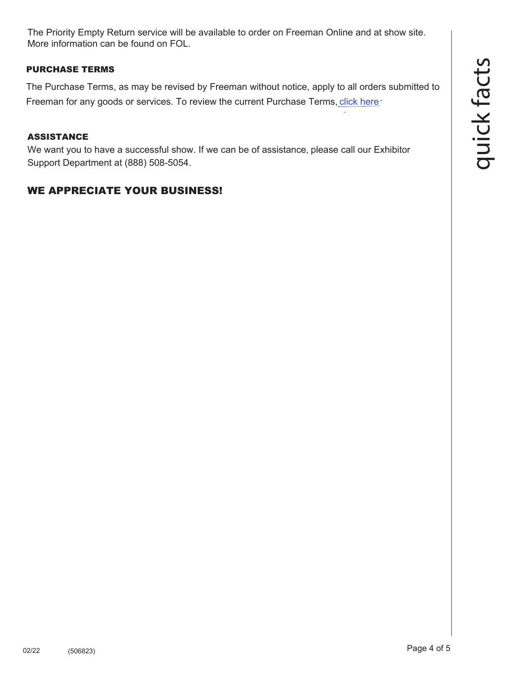quick fact  ${\boldsymbol{\mathsf{C}}}$ 

The Priority Empty Return service will be available to order on [Freeman Online](https://www.freemanco.com/store/index.jsp?utm_source=quickfacts&utm_campaign=discount) and at show site. More information can be found on [FOL.](https://www.freemanco.com/store/index.jsp?utm_source=quickfacts&utm_campaign=discount)

# PURCHASE TERMS

The Purchase Terms, as may be revised by Freeman without notice, apply to all orders submitted to Freeman for any goods or services. To review the current Purchase Terms, [click here](https://www.freemanco.com/store/purchase-terms?_ga=2.176437029.1419744130.1584226036-1715307741.1584226036&page=purchaseTerms)[.](https://www.freemanco.com/store/footerPages/footerPagesProfileFrame.jsp?page=purchaseTerms&_ga=2.176437029.1419744130.1584226036-1715307741.1584226036)

# ASSISTANCE

We want you to have a successful show. If we can be of assistance, please call our Exhibitor Support Department at (888) 508-5054.

# WE APPRECIATE YOUR BUSINESS!